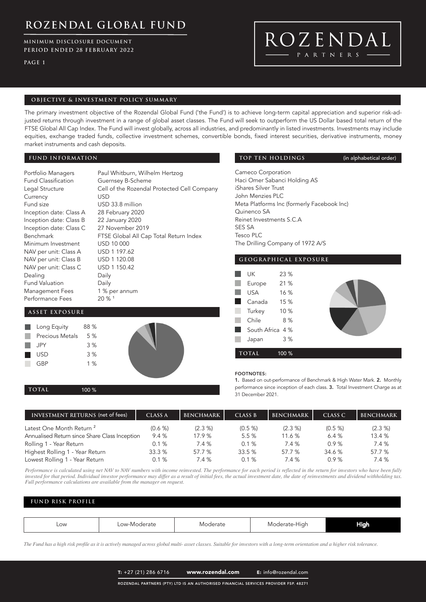**MINIMUM DISCLOSURE DOCUMENT PERIOD ENDED 28 FEBRUARY 2022**

**PAGE 1**

# ROZENDAL PARTNERS

### **OBJECTIVE & INVESTMENT POLICY SUMMARY**

The primary investment objective of the Rozendal Global Fund ('the Fund') is to achieve long-term capital appreciation and superior risk-adjusted returns through investment in a range of global asset classes. The Fund will seek to outperform the US Dollar based total return of the FTSE Global All Cap Index. The Fund will invest globally, across all industries, and predominantly in listed investments. Investments may include equities, exchange traded funds, collective investment schemes, convertible bonds, fixed interest securities, derivative instruments, money market instruments and cash deposits.

### **FUND INFORMATION**

| Portfolio Managers         | Paul Whitburn, Wilhelm Hertzog              |
|----------------------------|---------------------------------------------|
| <b>Fund Classification</b> | Guernsey B-Scheme                           |
| Legal Structure            | Cell of the Rozendal Protected Cell Company |
| Currency                   | <b>USD</b>                                  |
| Fund size                  | USD 33.8 million                            |
| Inception date: Class A    | 28 February 2020                            |
| Inception date: Class B    | 22 January 2020                             |
| Inception date: Class C    | 27 November 2019                            |
| <b>Benchmark</b>           | FTSE Global All Cap Total Return Index      |
| Minimum Investment         | USD 10 000                                  |
| NAV per unit: Class A      | USD 1 197.62                                |
| NAV per unit: Class B      | USD 1 120.08                                |
| NAV per unit: Class C      | USD 1 150.42                                |
| Dealing                    | Daily                                       |
| <b>Fund Valuation</b>      | Daily                                       |
| Management Fees            | 1 % per annum                               |
| Performance Fees           | $20\%$ <sup>1</sup>                         |

### **ASSET EXPOSURE**

| Long Equity            | 88 % |  |
|------------------------|------|--|
| <b>Precious Metals</b> | 5 %  |  |
| <b>JPY</b>             | 3%   |  |
| <b>USD</b>             | 3%   |  |
| <b>GBP</b>             | 1%   |  |

**TOP TEN HOLDINGS** (in alphabetical order)

Cameco Corporation Haci Omer Sabanci Holding AS iShares Silver Trust John Menzies PLC Meta Platforms Inc (formerly Facebook Inc) Quinenco SA Reinet Investments S.C.A SES SA Tesco PLC The Drilling Company of 1972 A/S



#### FOOTNOTES:

1. Based on out-performance of Benchmark & High Water Mark. 2. Monthly performance since inception of each class. 3. Total Investment Charge as at **TOTAL** 100 % **100 % 100 % 100 % 100 % 100 % 100 % 100 % 100 % 100 % 100 % 31 December 2021.** 

| INVESTMENT RETURNS (net of fees)              | <b>CLASS A</b> | <b>BENCHMARK</b> | <b>CLASS B</b> | <b>BENCHMARK</b> | CLASS C | <b>BENCHMARK</b> |
|-----------------------------------------------|----------------|------------------|----------------|------------------|---------|------------------|
| Latest One Month Return <sup>2</sup>          | $(0.6 \%)$     | $(2.3\%)$        | (0.5 %         | $(2.3\% )$       | (0.5 %  | (2.3 %)          |
| Annualised Return since Share Class Inception | 9.4%           | 17.9%            | 5.5%           | 11.6%            | 6.4%    | 13.4%            |
| Rolling 1 - Year Return                       | $0.1 \%$       | 7.4 %            | $0.1 \%$       | 7.4 %            | 0.9%    | 7.4 %            |
| Highest Rolling 1 - Year Return               | 33.3%          | 57.7 %           | 33.5%          | 57.7 %           | 34.6%   | 57.7 %           |
| Lowest Rolling 1 - Year Return                | 0.1%           | 7.4 %            | $0.1 \%$       | 7.4 %            | 0.9%    | 7.4 %            |

*Performance is calculated using net NAV to NAV numbers with income reinvested. The performance for each period is reflected in the return for investors who have been fully invested for that period. Individual investor performance may differ as a result of initial fees, the actual investment date, the date of reinvestments and dividend withholding tax. Full performance calculations are available from the manager on request.*

### **FUND RISK PROFILE**

| Low | -Moderate<br>$\bigcap M$<br>____<br>- - - | rate<br>. | $\cdots$<br>Hıar<br>~ | Hiah<br>. . |
|-----|-------------------------------------------|-----------|-----------------------|-------------|

*The Fund has a high risk profile as it is actively managed across global multi- asset classes. Suitable for investors with a long-term orientation and a higher risk tolerance.*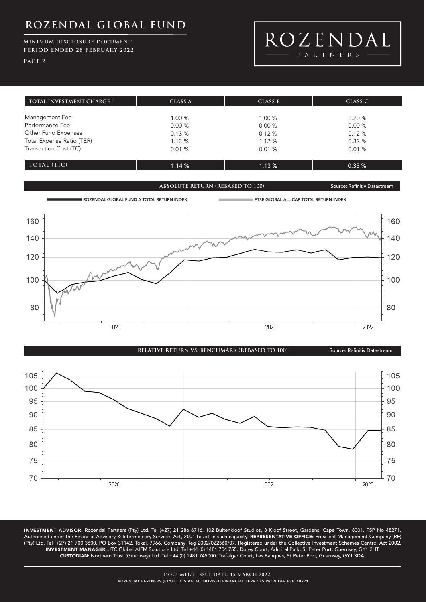### **MINIMUM DISCLOSURE DOCUMENT PERIOD ENDED 28 FEBRUARY 2022**

**PAGE 2**



| TOTAL INVESTMENT CHARGE <sup>3</sup> | CLASS A | CLASS B | CLASS C |  |
|--------------------------------------|---------|---------|---------|--|
|                                      |         |         |         |  |
| Management Fee                       | 1.00%   | 1.00%   | 0.20%   |  |
| Performance Fee                      | 0.00%   | 0.00%   | 0.00%   |  |
| Other Fund Expenses                  | 0.13%   | 0.12%   | 0.12%   |  |
| Total Expense Ratio (TER)            | 1.13%   | 1.12%   | 0.32%   |  |
| Transaction Cost (TC)                | 0.01%   | 0.01%   | 0.01%   |  |
|                                      |         |         |         |  |
| TOTAL (TIC)                          | 1.14%   | 1.13%   | 0.33%   |  |

**ABSOLUTE RETURN (REBASED TO 100)** Source: Refinitiv Datastream





INVESTMENT ADVISOR: Rozendal Partners (Pty) Ltd. Tel (+27) 21 286 6716. 102 Buitenkloof Studios, 8 Kloof Street, Gardens, Cape Town, 8001. FSP No 48271. Authorised under the Financial Advisory & Intermediary Services Act, 2001 to act in such capacity. REPRESENTATIVE OFFICE: Prescient Management Company (RF) (Pty) Ltd. Tel (+27) 21 700 3600. PO Box 31142, Tokai, 7966. Company Reg 2002/022560/07. Registered under the Collective Investment Schemes Control Act 2002. INVESTMENT MANAGER: JTC Global AIFM Solutions Ltd. Tel +44 (0) 1481 704 755. Dorey Court, Admiral Park, St Peter Port, Guernsey, GY1 2HT. CUSTODIAN: Northern Trust (Guernsey) Ltd. Tel +44 (0) 1481 745000. Trafalgar Court, Les Banques, St Peter Port, Guernsey, GY1 3DA.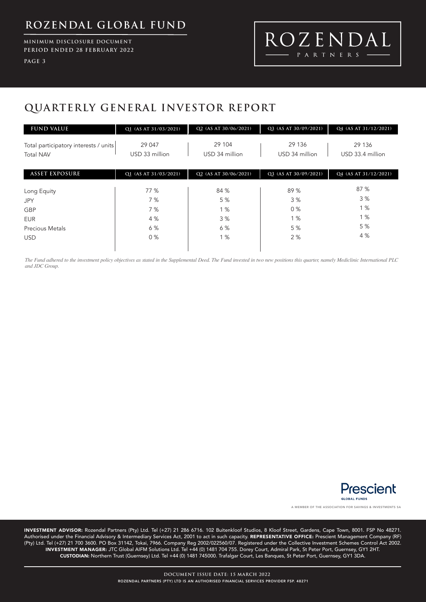**MINIMUM DISCLOSURE DOCUMENT PERIOD ENDED 28 FEBRUARY 2022**

**PAGE 3**

# ROZENDAL -  $P$  A R T N E R S  $\cdot$

# **QUARTERLY GENERAL INVESTOR REPORT**

| <b>FUND VALUE</b>                                         | Q1 (AS AT 31/03/2021)    | Q2 (AS AT 30/06/2021)    | Q3 (AS AT 30/09/2021)    | Q4 (AS AT 31/12/2021)      |
|-----------------------------------------------------------|--------------------------|--------------------------|--------------------------|----------------------------|
| Total participatory interests / units<br><b>Total NAV</b> | 29 047<br>USD 33 million | 29 104<br>USD 34 million | 29 136<br>USD 34 million | 29 136<br>USD 33.4 million |
| <b>ASSET EXPOSURE</b>                                     | Q1 (AS AT 31/03/2021)    | Q2 (AS AT 30/06/2021)    | Q3 (AS AT 30/09/2021)    | Q4 (AS AT 31/12/2021)      |
| Long Equity<br><b>JPY</b>                                 | 77 %<br>7%               | 84 %<br>5 %              | 89 %<br>3%               | 87 %<br>3%                 |
| <b>GBP</b>                                                | 7%                       | 1%                       | 0%                       | 1%                         |
| <b>EUR</b>                                                | 4 %                      | 3%                       | 1%                       | 1%                         |
| <b>Precious Metals</b>                                    | 6 %                      | 6 %                      | 5 %                      | 5 %                        |
| <b>USD</b>                                                | $0\%$                    | 1%                       | 2%                       | 4 %                        |

*The Fund adhered to the investment policy objectives as stated in the Supplemental Deed. The Fund invested in two new positions this quarter, namely Mediclinic International PLC and JDC Group.*



A MEMBER OF THE ASSOCIATION FOR SAVINGS & INVESTMENTS SA

INVESTMENT ADVISOR: Rozendal Partners (Pty) Ltd. Tel (+27) 21 286 6716. 102 Buitenkloof Studios, 8 Kloof Street, Gardens, Cape Town, 8001. FSP No 48271. Authorised under the Financial Advisory & Intermediary Services Act, 2001 to act in such capacity. REPRESENTATIVE OFFICE: Prescient Management Company (RF) (Pty) Ltd. Tel (+27) 21 700 3600. PO Box 31142, Tokai, 7966. Company Reg 2002/022560/07. Registered under the Collective Investment Schemes Control Act 2002. INVESTMENT MANAGER: JTC Global AIFM Solutions Ltd. Tel +44 (0) 1481 704 755. Dorey Court, Admiral Park, St Peter Port, Guernsey, GY1 2HT. CUSTODIAN: Northern Trust (Guernsey) Ltd. Tel +44 (0) 1481 745000. Trafalgar Court, Les Banques, St Peter Port, Guernsey, GY1 3DA.